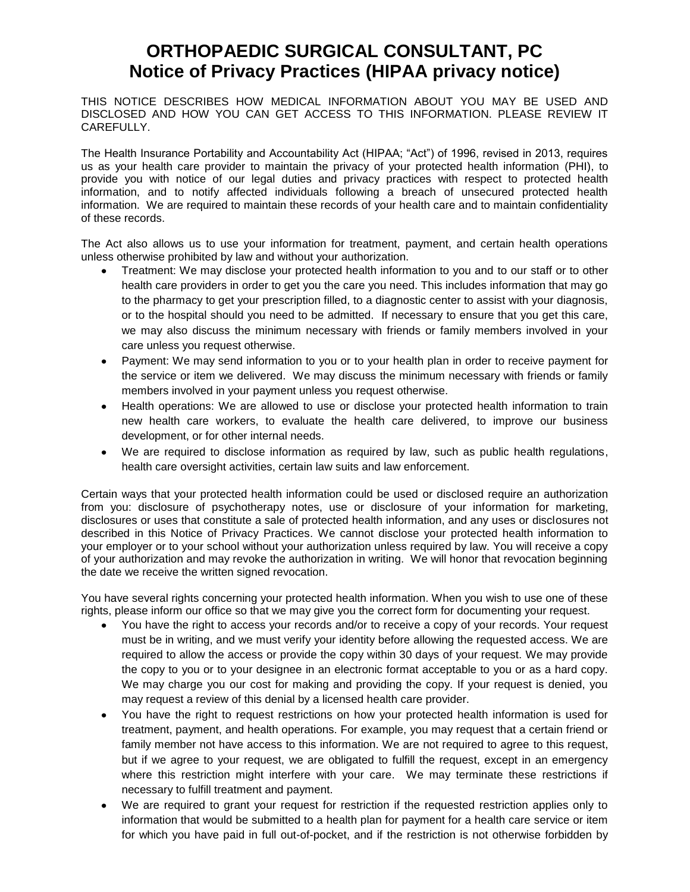## **ORTHOPAEDIC SURGICAL CONSULTANT, PC Notice of Privacy Practices (HIPAA privacy notice)**

THIS NOTICE DESCRIBES HOW MEDICAL INFORMATION ABOUT YOU MAY BE USED AND DISCLOSED AND HOW YOU CAN GET ACCESS TO THIS INFORMATION. PLEASE REVIEW IT CAREFULLY.

The Health Insurance Portability and Accountability Act (HIPAA; "Act") of 1996, revised in 2013, requires us as your health care provider to maintain the privacy of your protected health information (PHI), to provide you with notice of our legal duties and privacy practices with respect to protected health information, and to notify affected individuals following a breach of unsecured protected health information. We are required to maintain these records of your health care and to maintain confidentiality of these records.

The Act also allows us to use your information for treatment, payment, and certain health operations unless otherwise prohibited by law and without your authorization.

- Treatment: We may disclose your protected health information to you and to our staff or to other health care providers in order to get you the care you need. This includes information that may go to the pharmacy to get your prescription filled, to a diagnostic center to assist with your diagnosis, or to the hospital should you need to be admitted. If necessary to ensure that you get this care, we may also discuss the minimum necessary with friends or family members involved in your care unless you request otherwise.
- Payment: We may send information to you or to your health plan in order to receive payment for the service or item we delivered. We may discuss the minimum necessary with friends or family members involved in your payment unless you request otherwise.
- Health operations: We are allowed to use or disclose your protected health information to train new health care workers, to evaluate the health care delivered, to improve our business development, or for other internal needs.
- We are required to disclose information as required by law, such as public health regulations, health care oversight activities, certain law suits and law enforcement.

Certain ways that your protected health information could be used or disclosed require an authorization from you: disclosure of psychotherapy notes, use or disclosure of your information for marketing, disclosures or uses that constitute a sale of protected health information, and any uses or disclosures not described in this Notice of Privacy Practices. We cannot disclose your protected health information to your employer or to your school without your authorization unless required by law. You will receive a copy of your authorization and may revoke the authorization in writing. We will honor that revocation beginning the date we receive the written signed revocation.

You have several rights concerning your protected health information. When you wish to use one of these rights, please inform our office so that we may give you the correct form for documenting your request.

- You have the right to access your records and/or to receive a copy of your records. Your request must be in writing, and we must verify your identity before allowing the requested access. We are required to allow the access or provide the copy within 30 days of your request. We may provide the copy to you or to your designee in an electronic format acceptable to you or as a hard copy. We may charge you our cost for making and providing the copy. If your request is denied, you may request a review of this denial by a licensed health care provider.
- You have the right to request restrictions on how your protected health information is used for treatment, payment, and health operations. For example, you may request that a certain friend or family member not have access to this information. We are not required to agree to this request, but if we agree to your request, we are obligated to fulfill the request, except in an emergency where this restriction might interfere with your care. We may terminate these restrictions if necessary to fulfill treatment and payment.
- We are required to grant your request for restriction if the requested restriction applies only to information that would be submitted to a health plan for payment for a health care service or item for which you have paid in full out-of-pocket, and if the restriction is not otherwise forbidden by